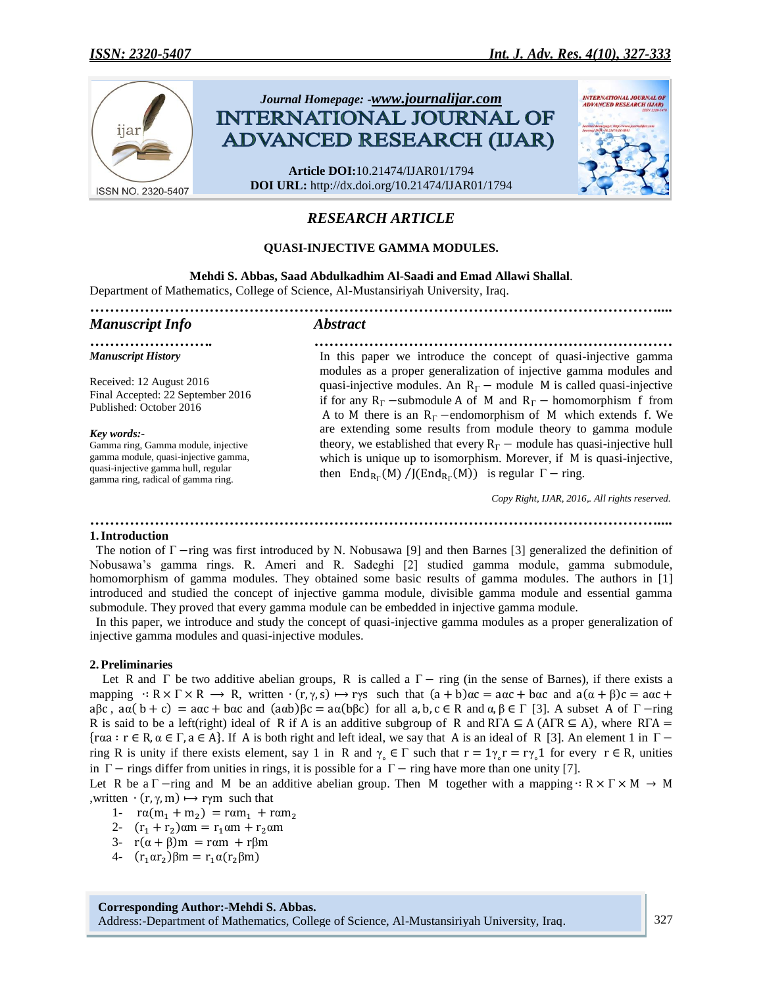

# *RESEARCH ARTICLE*

### **QUASI-INJECTIVE GAMMA MODULES.**

**Mehdi S. Abbas, Saad Abdulkadhim Al-Saadi and Emad Allawi Shallal**. Department of Mathematics, College of Science, Al-Mustansiriyah University, Iraq.

| <b>Manuscript Info</b>                                                                                                                                                  | <b>Abstract</b>                                                                                                                                                                                                                                                                                              |
|-------------------------------------------------------------------------------------------------------------------------------------------------------------------------|--------------------------------------------------------------------------------------------------------------------------------------------------------------------------------------------------------------------------------------------------------------------------------------------------------------|
| .<br><b>Manuscript History</b>                                                                                                                                          | In this paper we introduce the concept of quasi-injective gamma                                                                                                                                                                                                                                              |
| Received: 12 August 2016<br>Final Accepted: 22 September 2016<br>Published: October 2016                                                                                | modules as a proper generalization of injective gamma modules and<br>quasi-injective modules. An $R_{\Gamma}$ – module M is called quasi-injective<br>if for any $R_{\Gamma}$ -submodule A of M and $R_{\Gamma}$ - homomorphism f from<br>A to M there is an $R_F$ -endomorphism of M which extends f. We    |
| Key words:-<br>Gamma ring, Gamma module, injective<br>gamma module, quasi-injective gamma,<br>quasi-injective gamma hull, regular<br>gamma ring, radical of gamma ring. | are extending some results from module theory to gamma module<br>theory, we established that every $R_{\Gamma}$ – module has quasi-injective hull<br>which is unique up to isomorphism. Morever, if M is quasi-injective,<br>then End <sub>Rr</sub> (M)/J(End <sub>Rr</sub> (M)) is regular $\Gamma$ – ring. |
|                                                                                                                                                                         | Copy Right, IJAR, 2016,. All rights reserved.                                                                                                                                                                                                                                                                |

#### **1.Introduction**

The notion of  $\Gamma$  -ring was first introduced by N. Nobusawa [9] and then Barnes [3] generalized the definition of Nobusawa's gamma rings. R. Ameri and R. Sadeghi [2] studied gamma module, gamma submodule, homomorphism of gamma modules. They obtained some basic results of gamma modules. The authors in [1] introduced and studied the concept of injective gamma module, divisible gamma module and essential gamma submodule. They proved that every gamma module can be embedded in injective gamma module.

*……………………………………………………………………………………………………....*

 In this paper, we introduce and study the concept of quasi-injective gamma modules as a proper generalization of injective gamma modules and quasi-injective modules.

### **2.Preliminaries**

Let R and  $\Gamma$  be two additive abelian groups, R is called a  $\Gamma$  - ring (in the sense of Barnes), if there exists a mapping  $: R \times \Gamma \times R \longrightarrow R$ , written  $\cdot (r, \gamma, s) \mapsto r\gamma s$  such that  $(a + b)\alpha c = a\alpha c + b\alpha c$  and  $a(\alpha + \beta)c = a\alpha c +$  $a\beta c$ ,  $a\alpha (b+c) = a\alpha c + b\alpha c$  and  $(a\alpha b)\beta c = a\alpha (b\beta c)$  for all  $a, b, c \in R$  and  $\alpha, \beta \in \Gamma$  [3]. A subset A of  $\Gamma$ -ring R is said to be a left(right) ideal of R if A is an additive subgroup of R and  $R\Gamma A \subseteq A$  (ATR  $\subseteq A$ ), where  $R\Gamma A =$ { $raa : r \in R$ ,  $\alpha \in \Gamma$ ,  $a \in A$ }. If A is both right and left ideal, we say that A is an ideal of R [3]. An element 1 in  $\Gamma$  – ring R is unity if there exists element, say 1 in R and  $\gamma_{0} \in \Gamma$  such that  $r = 1\gamma_{0}r = r\gamma_{0}1$  for every  $r \in R$ , unities in  $\Gamma$  – rings differ from unities in rings, it is possible for a  $\Gamma$  – ring have more than one unity [7].

Let R be a  $\Gamma$  -ring and M be an additive abelian group. Then M together with a mapping  $: R \times \Gamma \times M \rightarrow M$ , written  $\cdot$  (r,  $\gamma$ , m)  $\mapsto$  r $\gamma$ m such that

- 1-  $ra(m_1 + m_2)$
- 2-  $(r_1 + r_2)$
- 3-  $r(\alpha + \beta)m = r\alpha m + r\beta m$
- 4-  $(r_1 \alpha r_2)$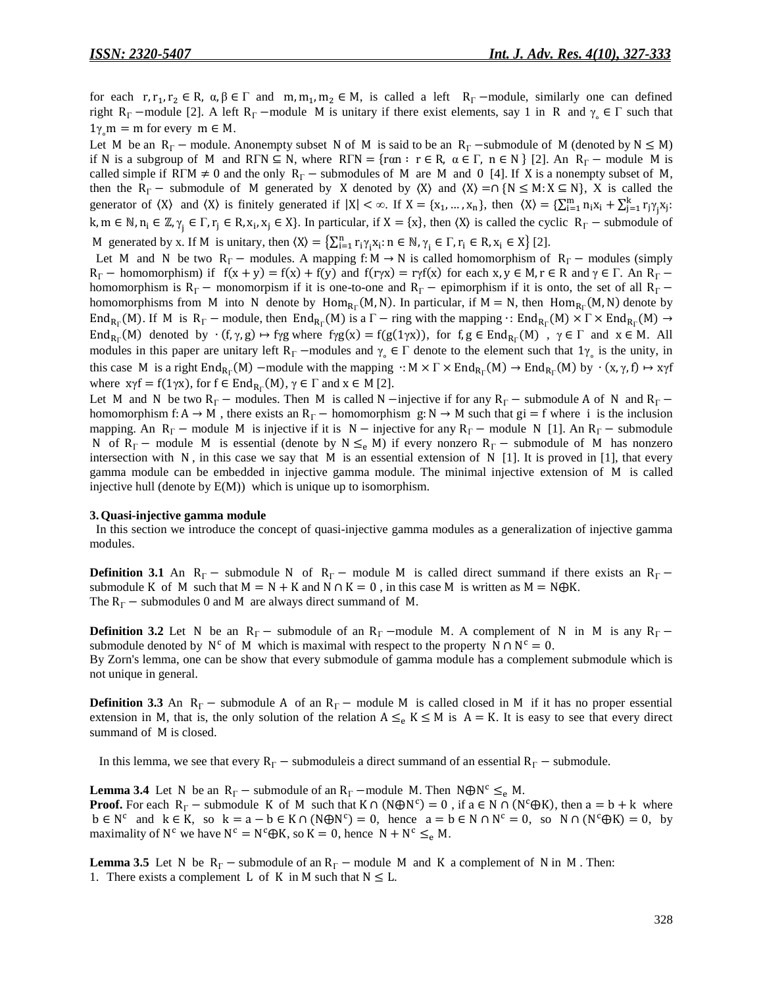for each  $r, r_1, r_2 \in R$ ,  $\alpha, \beta \in \Gamma$  and  $m, m_1, m_2 \in M$ , is called a left  $R_{\Gamma}$  –module, similarly one can defined right  $R_{\Gamma}$  –module [2]. A left  $R_{\Gamma}$  –module M is unitary if there exist elements, say 1 in R and  $\gamma_{\circ} \in \Gamma$  such that  $1\gamma_{\circ}$ m = m for every m  $\in$  M.

Let M be an  $R_\Gamma$  – module. Anonempty subset N of M is said to be an  $R_\Gamma$  –submodule of M (denoted by  $N \le M$ ) if N is a subgroup of M and RTN  $\subseteq$  N, where RTN = { $ran : r \in R$ ,  $\alpha \in \Gamma$ ,  $n \in N$ } [2]. An R<sub>T</sub> – module M is called simple if RFM  $\neq$  0 and the only R<sub>F</sub> – submodules of M are M and 0 [4]. If X is a nonempty subset of M, then the  $R_{\Gamma}$  – submodule of M generated by X denoted by  $\langle X \rangle$  and  $\langle X \rangle = \cap \{N \le M : X \subseteq N\}$ , X is called the generator of  $\langle X \rangle$  and  $\langle X \rangle$  is finitely generated if  $|X| < \infty$ . If  $X = \{x_1, ..., x_n\}$ , then  $\langle X \rangle = \sum_{i=1}^m n_i x_i + \sum_{j=1}^k r_j \gamma_j x_j$ .  $k, m \in \mathbb{N}, n_i \in \mathbb{Z}, \gamma_i \in \Gamma, r_j \in \mathbb{R}, x_i, x_j \in \mathbb{X}$ . In particular, if  $X = \{x\}$ , then  $\langle X \rangle$  is called the cyclic  $R_{\Gamma}$  – submodule of M generated by x. If M is unitary, then  $(X) = \sum_{i=1}^{n} r_i \gamma_i x_i$ :  $n \in \mathbb{N}, \gamma_i \in \Gamma, r_i \in \mathbb{R}, x_i \in X$  [2].

Let M and N be two  $R_{\Gamma}$  – modules. A mapping f: M  $\rightarrow$  N is called homomorphism of  $R_{\Gamma}$  – modules (simply  $R_{\Gamma}$  – homomorphism) if  $f(x + y) = f(x) + f(y)$  and  $f(\gamma x) = r\gamma f(x)$  for each  $x, y \in M$ ,  $r \in R$  and  $\gamma \in \Gamma$ . An  $R_{\Gamma}$  – homomorphism is  $R_\Gamma$  – monomorpism if it is one-to-one and  $R_\Gamma$  – epimorphism if it is onto, the set of all  $R_\Gamma$  – homomorphisms from M into N denote by  $Hom_{R_{\Gamma}}(M, N)$ . In particular, if  $M = N$ , then  $Hom_{R_{\Gamma}}(M, N)$  denote by End<sub>Rr</sub> (M). If M is R<sub>F</sub> – module, then End<sub>Rr</sub> (M) is a  $\Gamma$  – ring with the mapping  $\cdot$ : End<sub>Rr</sub> (M)  $\times \Gamma \times$  End<sub>Rr</sub> ( End<sub>Rr</sub>(M) denoted by  $\cdot$  (f,  $\gamma$ ,  $g$ )  $\mapsto$  fyg where fyg(x) = f(g(1 $\gamma$ x)), for f,  $g \in$  End<sub>Rr</sub>(M),  $\gamma \in \Gamma$  and  $x \in M$ . All modules in this paper are unitary left  $R_{\Gamma}$  –modules and  $\gamma_{\circ} \in \Gamma$  denote to the element such that  $1\gamma_{\circ}$  is the unity, in this case M is a right  $\text{End}_{R_{\Gamma}}(M)$  –module with the mapping  $\cdot : M \times \Gamma \times \text{End}_{R_{\Gamma}}(M) \to \text{End}_{R_{\Gamma}}(M)$  by where  $xyf = f(1yx)$ , for  $f \in End_{R_{\Gamma}}(M)$ ,  $\gamma \in \Gamma$  and  $x \in M$  [2].

Let M and N be two  $R_\Gamma$  – modules. Then M is called N –injective if for any  $R_\Gamma$  – submodule A of N and  $R_\Gamma$  – homomorphism f: A  $\rightarrow$  M, there exists an R<sub>F</sub> – homomorphism g: N  $\rightarrow$  M such that gi = f where i is the inclusion mapping. An  $R_\Gamma$  – module M is injective if it is  $N$  – injective for any  $R_\Gamma$  – module N [1]. An  $R_\Gamma$  – submodule N of  $R_\Gamma$  – module M is essential (denote by  $N \leq_e M$ ) if every nonzero  $R_\Gamma$  – submodule of M has nonzero intersection with  $N$ , in this case we say that  $M$  is an essential extension of  $N$  [1]. It is proved in [1], that every gamma module can be embedded in injective gamma module. The minimal injective extension of M is called injective hull (denote by E(M)) which is unique up to isomorphism.

#### **3.Quasi-injective gamma module**

 In this section we introduce the concept of quasi-injective gamma modules as a generalization of injective gamma modules.

**Definition** 3.1 An  $R_r$  - submodule N of  $R_r$  - module M is called direct summand if there exists an  $R_r$  submodule K of M such that  $M = N + K$  and  $N \cap K = 0$ , in this case M is written as  $M = N \oplus K$ . The  $R_{\Gamma}$  – submodules 0 and M are always direct summand of M.

**Definition 3.2** Let N be an  $R_\Gamma$  – submodule of an  $R_\Gamma$  –module M. A complement of N in M is any  $R_\Gamma$  – submodule denoted by  $N^c$  of M which is maximal with respect to the property  $N \cap N^c = 0$ . By Zorn's lemma, one can be show that every submodule of gamma module has a complement submodule which is not unique in general.

**Definition 3.3** An  $R_{\text{r}}$  – submodule A of an  $R_{\text{r}}$  – module M is called closed in M if it has no proper essential extension in M, that is, the only solution of the relation  $A \leq_e K \leq M$  is  $A = K$ . It is easy to see that every direct summand of M is closed.

In this lemma, we see that every  $R_{\Gamma}$  – submoduleis a direct summand of an essential  $R_{\Gamma}$  – submodule.

**Lemma 3.4** Let N be an  $R_\Gamma$  – submodule of an  $R_\Gamma$  –module M. Then  $N \oplus N^c \leq_R M$ . **Proof.** For each  $R_{\Gamma}$  – submodule K of M such that  $K \cap (N \oplus N^c) = 0$ , if  $a \in N \cap (N^c \oplus K)$ , then  $a = b + k$  where  $b \in N^c$  and  $k \in K$ , so  $k = a - b \in K \cap (N \oplus N^c) = 0$ , hence  $a = b \in N \cap N^c = 0$ , so  $N \cap (N^c \oplus K) = 0$ , by maximality of  $N^c$  we have  $N^c = N^c \oplus K$ , so  $K = 0$ , hence  $N + N^c \leq_e M$ .

**Lemma 3.5** Let N be  $R_\Gamma$  – submodule of an  $R_\Gamma$  – module M and K a complement of N in M. Then: 1. There exists a complement L of K in M such that  $N \leq L$ .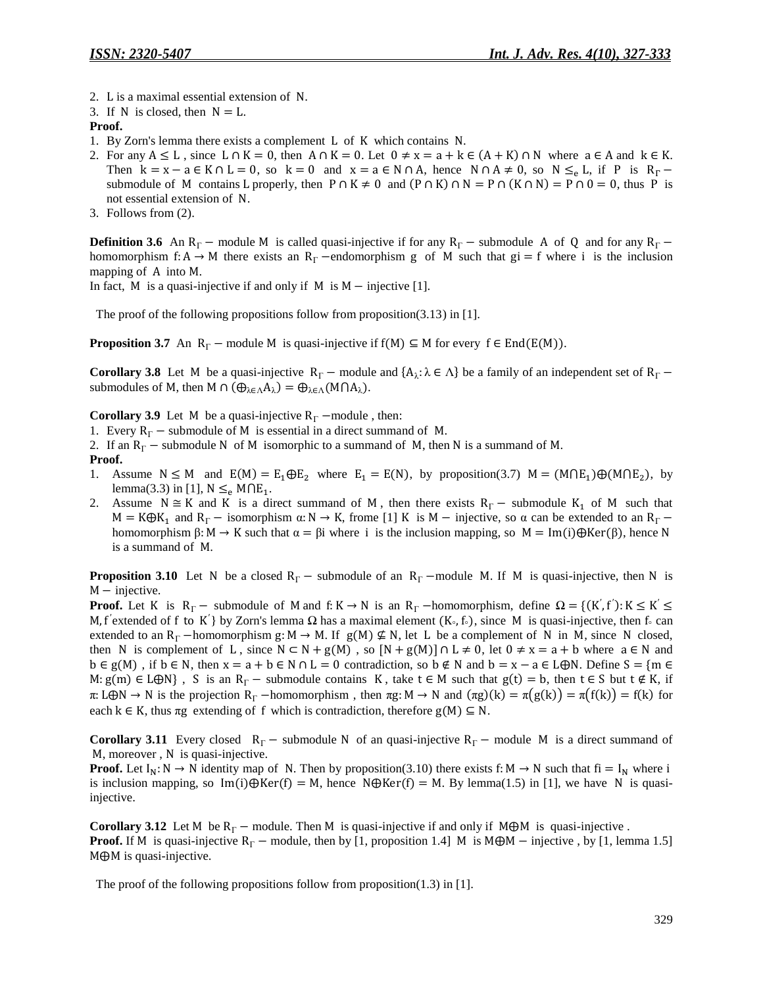- 2. L is a maximal essential extension of N.
- 3. If N is closed, then  $N = L$ .

### **Proof.**

- 1. By Zorn's lemma there exists a complement  $\overline{L}$  of K which contains N.
- 2. For any  $A \leq L$ , since  $L \cap K = 0$ , then  $A \cap K = 0$ . Let  $0 \neq x = a + k \in (A + K) \cap N$  where  $a \in A$  and  $k \in K$ . Then  $k = x - a \in K \cap L = 0$ , so  $k = 0$  and  $x = a \in N \cap A$ , hence  $N \cap A \neq 0$ , so  $N \leq_{\rho} L$ , if P is  $R_{\Gamma}$ submodule of M contains L properly, then  $P \cap K \neq 0$  and  $(P \cap K) \cap N = P \cap (K \cap N) = P \cap 0 = 0$ , thus P is not essential extension of N.
- 3. Follows from (2).

**Definition 3.6** An  $R_r$  – module M is called quasi-injective if for any  $R_r$  – submodule A of Q and for any  $R_r$  – homomorphism f: A  $\rightarrow$  M there exists an R<sub>F</sub> -endomorphism g of M such that gi = f where i is the inclusion mapping of A into M.

In fact, M is a quasi-injective if and only if  $M$  is  $M$  – injective [1].

The proof of the following propositions follow from proposition(3.13) in [1].

**Proposition 3.7** An  $R_{\Gamma}$  – module M is quasi-injective if  $f(M) \subseteq M$  for every  $f \in End(E(M))$ .

**Corollary 3.8** Let M be a quasi-injective  $R_{\Gamma}$  – module and  $\{A_{\lambda} : \lambda \in \Lambda\}$  be a family of an independent set of submodules of M, then M  $\cap$   $(\bigoplus_{\lambda \in \Lambda} A_{\lambda}) = \bigoplus_{\lambda \in \Lambda} (M \cap A_{\lambda}).$ 

**Corollary 3.9** Let M be a quasi-injective  $R_\Gamma$  –module, then:

- 1. Every  $R_{\Gamma}$  submodule of M is essential in a direct summand of M.
- 2. If an  $R_\Gamma$  submodule N of M isomorphic to a summand of M, then N is a summand of M.

### **Proof.**

- 1. Assume  $N \le M$  and  $E(M) = E_1 \oplus E_2$  where  $E_1 = E(N)$ , by proposition(3.7)  $M = (M \cap E_1) \oplus (M \cap E_2)$ , by lemma(3.3) in [1],  $N \leq_e M \cap E_1$ .
- 2. Assume  $N \cong K$  and K is a direct summand of M, then there exists  $R_{\Gamma}$  submodule  $K_1$  of M such that  $M = K \oplus K_1$  and  $R_\Gamma$  - isomorphism  $\alpha: N \to K$ , frome [1] K is  $M$  - injective, so  $\alpha$  can be extended to an  $R_\Gamma$  homomorphism  $\beta$ :  $M \rightarrow K$  such that  $\alpha = \beta i$  where i is the inclusion mapping, so  $M = Im(i) \bigoplus Ker(\beta)$ , hence N is a summand of M.

**Proposition 3.10** Let N be a closed  $R_\Gamma$  – submodule of an  $R_\Gamma$  –module M. If M is quasi-injective, then N is  $M$  – injective.

**Proof.** Let K is  $R_{\Gamma}$  – submodule of M and f: K  $\rightarrow$  N is an  $R_{\Gamma}$  –homomorphism, define  $\Omega = \{(K', f') : K \leq K'\}$ M, f'extended of f to K' by Zorn's lemma  $\Omega$  has a maximal element  $(K_0, f_0)$ , since M is quasi-injective, then f can extended to an  $R_{\Gamma}$  -homomorphism g: M  $\rightarrow$  M. If g(M)  $\nsubseteq$  N, let L be a complement of N in M, since N closed, then N is complement of L, since  $N \subset N + g(M)$ , so  $[N + g(M)] \cap L \neq 0$ , let  $0 \neq x = a + b$  where  $a \in N$  and  $b \in g(M)$ , if  $b \in N$ , then  $x = a + b \in N \cap L = 0$  contradiction, so  $b \notin N$  and  $b = x - a \in L \oplus N$ . Define  $S = \{m \in L \}$  $M: g(m) \in L\bigoplus N$ , S is an  $R_{\Gamma}$  – submodule contains K, take  $t \in M$  such that  $g(t) = b$ , then  $t \in S$  but  $t \notin K$ , if  $\pi: L\oplus N \to N$  is the projection  $R_{\Gamma}$  -homomorphism, then  $\pi g: M \to N$  and  $(\pi g)(k) = \pi(g(k)) = \pi(f(k)) = f(k)$  for each  $k \in K$ , thus  $\pi g$  extending of f which is contradiction, therefore  $g(M) \subseteq N$ .

**Corollary 3.11** Every closed  $R_{\Gamma}$  – submodule N of an quasi-injective  $R_{\Gamma}$  – module M is a direct summand of M, moreover, N is quasi-injective.

**Proof.** Let  $I_N: N \to N$  identity map of N. Then by proposition(3.10) there exists f:  $M \to N$  such that  $fi = I_N$  where i is inclusion mapping, so  $\text{Im}(i) \oplus \text{Ker}(f) = M$ , hence  $N \oplus \text{Ker}(f) = M$ . By lemma(1.5) in [1], we have N is quasiinjective.

**Corollary 3.12** Let M be  $R_{\Gamma}$  – module. Then M is quasi-injective if and only if M $\oplus$ M is quasi-injective . **Proof.** If M is quasi-injective  $R_\Gamma$  – module, then by [1, proposition 1.4] M is  $M \oplus M$  – injective, by [1, lemma 1.5]  $M \oplus M$  is quasi-injective.

The proof of the following propositions follow from proposition(1.3) in [1].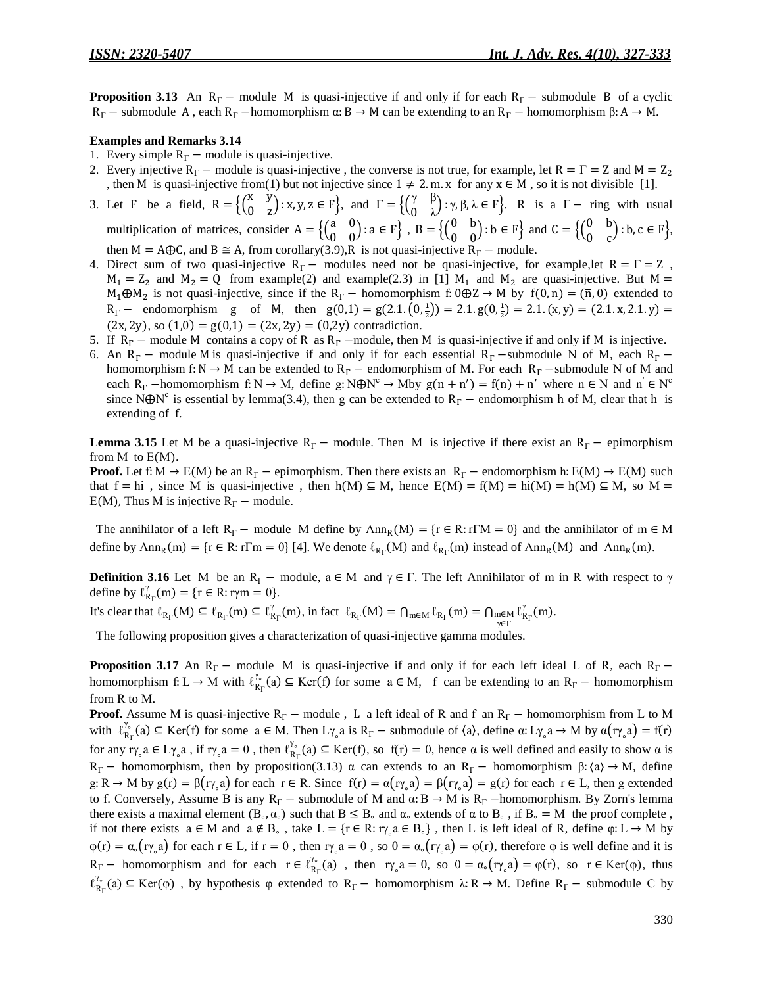**Proposition 3.13** An  $R_\Gamma$  – module M is quasi-injective if and only if for each  $R_\Gamma$  – submodule B of a cyclic  $R_{\Gamma}$  – submodule A, each  $R_{\Gamma}$  –homomorphism  $\alpha: B \to M$  can be extending to an  $R_{\Gamma}$  – homomorphism  $\beta: A \to M$ .

#### **Examples and Remarks 3.14**

- 1. Every simple  $R_{\Gamma}$  module is quasi-injective.
- 2. Every injective R<sub>F</sub> module is quasi-injective, the converse is not true, for example, let R =  $\Gamma$  = Z and M = Z<sub>2</sub> , then M is quasi-injective from(1) but not injective since  $1 \neq 2$ . m. x for any  $x \in M$ , so it is not divisible [1].
- 3. Let F be a field,  $R = \begin{cases} \begin{pmatrix} x \\ 0 \end{pmatrix}$  $\begin{pmatrix} x & y \\ 0 & z \end{pmatrix}$ : x, y, z  $\in$  F}, and  $\Gamma = \left\{ \begin{pmatrix} \gamma \\ 0 \end{pmatrix} \right\}$  $\begin{pmatrix} 1 & p \\ 0 & \lambda \end{pmatrix}$ :  $\gamma, \beta, \lambda \in F$ . R is a  $\Gamma$  - ring with usual multiplication of matrices, consider  $A = \begin{cases} \begin{pmatrix} a & b \\ c & d \end{pmatrix} \end{cases}$  $\begin{pmatrix} a & 0 \\ 0 & 0 \end{pmatrix}$ :  $a \in F$ ,  $B = \left\{ \begin{pmatrix} 0 \\ 0 \end{pmatrix} \right\}$  $\begin{pmatrix} 0 & b \\ 0 & 0 \end{pmatrix}$ :  $b \in F$  and  $C = \left\{ \begin{pmatrix} 0 & b \\ 0 & b \end{pmatrix} \right\}$  $\begin{pmatrix} 0 & b \\ 0 & c \end{pmatrix}$ : b, c  $\in$  F $\}$ , then  $M = A \oplus C$ , and  $B \cong A$ , from corollary(3.9), R is not quasi-injective  $R_{\Gamma}$  – module.
- 4. Direct sum of two quasi-injective  $R_{\Gamma}$  modules need not be quasi-injective, for example,let  $R = \Gamma = Z$ ,  $M_1 = Z_2$  and  $M_2 = Q$  from example(2) and example(2.3) in [1]  $M_1$  and  $M_2$  are quasi-injective. But M =  $M_1 \oplus M_2$  is not quasi-injective, since if the  $R_\Gamma$  – homomorphism f:  $0 \oplus Z \rightarrow M$  by  $f(0,n) = (\bar{n}, 0)$  extended to  $R_{\Gamma}$  – endomorphism g of M, then  $g(0,1) = g(2.1, (0, \frac{1}{2})) = 2.1. g(0, \frac{1}{2})$  $(2x, 2y)$ , so  $(1,0) = g(0,1) = (2x, 2y) = (0,2y)$  contradiction.
- 5. If  $R_r$  module M contains a copy of R as  $R_r$  –module, then M is quasi-injective if and only if M is injective.
- 6. An R<sub>F</sub> module M is quasi-injective if and only if for each essential R<sub>F</sub> –submodule N of M, each R<sub>F</sub> homomorphism f: N  $\rightarrow$  M can be extended to R<sub>r</sub> – endomorphism of M. For each R<sub>r</sub> –submodule N of M and each  $R_\Gamma$  -homomorphism f: N  $\rightarrow$  M, define g: N $\bigoplus N^c \rightarrow M$  by  $g(n + n') = f(n) + n'$  where  $n \in N$  and  $n' \in N^c$ since N $\bigoplus N^c$  is essential by lemma(3.4), then g can be extended to  $R_r$  – endomorphism h of M, clear that h is extending of f.

**Lemma** 3.15 Let M be a quasi-injective  $R_\Gamma$  – module. Then M is injective if there exist an  $R_\Gamma$  – epimorphism from  $M$  to  $E(M)$ .

**Proof.** Let f:  $M \to E(M)$  be an  $R_F$  – epimorphism. Then there exists an  $R_F$  – endomorphism h:  $E(M) \to E(M)$  such that  $f = h$  , since M is quasi-injective, then  $h(M) \subseteq M$ , hence  $E(M) = f(M) = h(M) = h(M) \subseteq M$ , so M =  $E(M)$ , Thus M is injective  $R_{\Gamma}$  – module.

The annihilator of a left  $R_{\Gamma}$  – module M define by  $Ann_R(M) = {r \in R : r \Gamma M = 0}$  and the annihilator of m  $\epsilon$ define by  $Ann_R(m) = \{r \in R : r\Gamma m = 0\}$  [4]. We denote  $\ell_{R_{\Gamma}}(M)$  and  $\ell_{R_{\Gamma}}(m)$  instead of  $Ann_R(M)$  and  $Ann_R(m)$ .

**Definition** 3.16 Let M be an R<sub>F</sub> – module,  $a \in M$  and  $\gamma \in \Gamma$ . The left Annihilator of m in R with respect to  $\gamma$ define by  $\ell_{R_{\Gamma}}^{\gamma}(m) = \{r \in R : r \gamma m = 0\}.$ 

It's clear that  $\ell_{R_{\Gamma}}(M) \subseteq \ell_{R_{\Gamma}}(m) \subseteq \ell_{R_{\Gamma}}^{\gamma}(m)$ , in fact  $\ell_{R_{\Gamma}}(M) = \bigcap_{m \in M} \ell_{R_{\Gamma}}(m) = \bigcap_{m \in M} \ell_{R_{\Gamma}}^{\gamma}(m)$ γ .

The following proposition gives a characterization of quasi-injective gamma modules.

**Proposition** 3.17 An  $R_r$  – module M is quasi-injective if and only if for each left ideal L of R, each  $R_r$  – homomorphism  $f: L \to M$  with  $\ell_{R_{\Gamma}}^{\gamma_{\circ}}(a) \subseteq \text{Ker}(f)$  for some  $a \in M$ , f can be extending to an  $R_{\Gamma}$  - homomorphism from R to M.

**Proof.** Assume M is quasi-injective  $R_\Gamma$  – module , L a left ideal of R and f an  $R_\Gamma$  – homomorphism from L to M with  $\ell_{R_{\Gamma}}^{\gamma_{\circ}}(a) \subseteq \text{Ker}(f)$  for some  $a \in M$ . Then  $L_{\gamma_{\circ}}a$  is  $R_{\Gamma}$  – submodule of  $\langle a \rangle$ , define  $\alpha: L_{\gamma_{\circ}}a \to M$  by  $\alpha(r_{\gamma_{\circ}}a) = f(r)$ for any  $r\gamma_a a \in L\gamma_a a$ , if  $r\gamma_a a = 0$ , then  $\ell_{R_\Gamma}^{\gamma_a}(a) \subseteq \text{Ker}(f)$ , so  $f(r) = 0$ , hence  $\alpha$  is well defined and easily to show  $\alpha$  is  $R_{\Gamma}$  – homomorphism, then by proposition(3.13)  $\alpha$  can extends to an  $R_{\Gamma}$  – homomorphism  $\beta$ :  $\langle a \rangle \rightarrow M$ , define  $g: R \to M$  by  $g(r) = \beta(r\gamma_a a)$  for each  $r \in R$ . Since  $f(r) = \alpha(r\gamma_a a) = \beta(r\gamma_a a) = g(r)$  for each  $r \in L$ , then g extended to f. Conversely, Assume B is any  $R_{\Gamma}$  – submodule of M and  $\alpha: B \to M$  is  $R_{\Gamma}$  – homomorphism. By Zorn's lemma there exists a maximal element  $(B_\circ, \alpha_\circ)$  such that  $B \leq B_\circ$  and  $\alpha_\circ$  extends of  $\alpha$  to  $B_\circ$ , if  $B_\circ = M$  the proof complete, if not there exists  $a \in M$  and  $a \notin B_o$ , take  $L = \{r \in R : r \gamma_a a \in B_o\}$ , then L is left ideal of R, define  $\varphi: L \to M$  by  $\varphi(r) = \alpha_o(r \gamma_o a)$  for each  $r \in L$ , if  $r = 0$ , then  $r \gamma_o a = 0$ , so  $0 = \alpha_o(r \gamma_o a) = \varphi(r)$ , therefore  $\varphi$  is well define and it is  $R_{\Gamma}$  – homomorphism and for each  $r \in \ell_{R_{\Gamma}}^{\gamma_o}(a)$ , then  $r \gamma_o a = 0$ , so  $0 = \alpha_o(r \gamma_o a) = \varphi(r)$ , so  $r \in \text{Ker}(\varphi)$ , thus  $\ell_{R_{\Gamma}}^{\gamma_{o}}(a) \subseteq \text{Ker}(\varphi)$ , by hypothesis  $\varphi$  extended to  $R_{\Gamma}$  – homomorphism  $\lambda: R \to M$ . Define  $R_{\Gamma}$  – submodule C by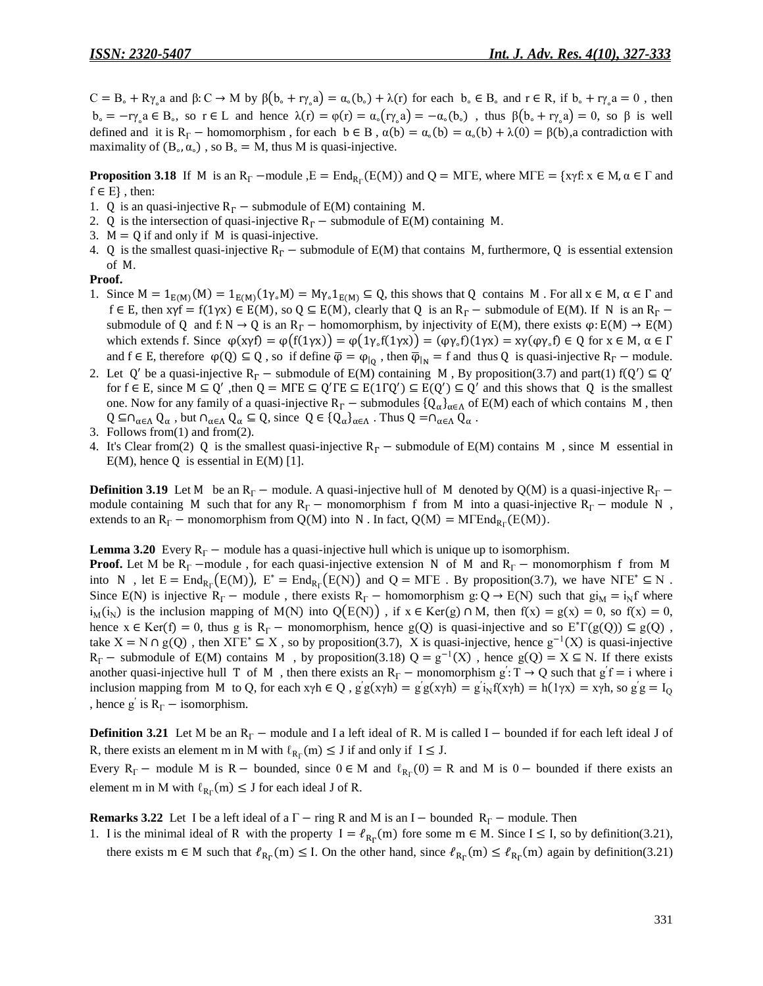$C = B_o + R\gamma_o a$  and  $\beta: C \to M$  by  $\beta(b_o + r\gamma_o a) = \alpha_o(b_o) + \lambda(r)$  for each  $b_o \in B_o$  and  $r \in R$ , if  $b_o + r\gamma_o a = 0$ , then  $b_{\circ} = -r\gamma_{\circ} a \in B_{\circ}$ , so  $r \in L$  and hence  $\lambda(r) = \varphi(r) = \alpha_{\circ}(r\gamma_{\circ} a) = -\alpha_{\circ}(b_{\circ})$ , thus  $\beta(b_{\circ} + r\gamma_{\circ} a) = 0$ , so  $\beta$  is well defined and it is  $R_{\Gamma}$  – homomorphism, for each  $b \in B$ ,  $\alpha(b) = \alpha_0(b) = \alpha_0(b) + \lambda(0) = \beta(b)$ , a contradiction with maximality of  $(B_0, \alpha_0)$ , so  $B_0 = M$ , thus M is quasi-injective.

**Proposition 3.18** If M is an  $R_{\Gamma}$  –module  $E = End_{R_{\Gamma}}(E(M))$  and  $Q = MTE$ , where  $MTE = \{xyf : x \in M, \alpha \in \Gamma \text{ and } \Gamma\}$  $f \in E \}$ , then:

- 1. Q is an quasi-injective  $R_r$  submodule of E(M) containing M.
- 2. Q is the intersection of quasi-injective  $R_r$  submodule of E(M) containing M.
- 3.  $M = Q$  if and only if M is quasi-injective.
- 4. Q is the smallest quasi-injective  $R_F$  submodule of E(M) that contains M, furthermore, Q is essential extension of M.

#### **Proof.**

- 1. Since  $M = 1_{E(M)}(M) = 1_{E(M)}(1_{V}M) = My \cdot 1_{E(M)} \subseteq Q$ , this shows that Q contains M. For all  $x \in M$ ,  $\alpha \in \Gamma$  and  $f \in E$ , then  $x\gamma f = f(1\gamma x) \in E(M)$ , so  $Q \subseteq E(M)$ , clearly that Q is an  $R_{\Gamma}$  – submodule of E(M). If N is an  $R_{\Gamma}$  – submodule of Q and f: N  $\rightarrow$  Q is an R<sub>F</sub> – homomorphism, by injectivity of E(M), there exists  $\varphi$ : E(M)  $\rightarrow$  E(M) which extends f. Since  $\varphi$ (x $\gamma f$ ) =  $\varphi$ (f(1 $\gamma$ x)) =  $(\varphi \gamma_s f)(1 \gamma x)$  =  $(\varphi \gamma_s f)(1 \gamma x)$  =  $\chi$  $\gamma$ ( $\varphi \gamma_s f$ )  $\in Q$  for  $x \in M$ , and  $f \in E$ , therefore  $\varphi(Q) \subseteq Q$ , so if define  $\overline{\varphi} = \varphi_{|Q}$ , then  $\overline{\varphi}_{|N} = f$  and thus Q is quasi-injective  $R_{\Gamma}$  – module.
- 2. Let Q' be a quasi-injective  $R_r$  submodule of E(M) containing M, By proposition(3.7) and part(1)  $f(Q') \subseteq Q'$ for  $f \in E$ , since  $M \subseteq Q'$ , then  $Q = MFE \subseteq Q'TE \subseteq E(1TQ') \subseteq E(Q') \subseteq Q'$  and this shows that Q is the smallest one. Now for any family of a quasi-injective  $R_\Gamma$  – submodules  ${Q_\alpha}_{\alpha \in \Lambda}$  of E(M) each of which contains M, then  $Q \subseteq \cap_{\alpha \in \Lambda} Q_{\alpha}$ , but  $\cap_{\alpha \in \Lambda} Q_{\alpha} \subseteq Q$ , since  $Q \in \{Q_{\alpha}\}_{{\alpha \in \Lambda}}$ . Thus  $Q = \cap_{\alpha \in \Lambda} Q_{\alpha}$ .
- 3. Follows from(1) and from(2).
- 4. It's Clear from(2) Q is the smallest quasi-injective  $R_r$  submodule of E(M) contains M, since M essential in  $E(M)$ , hence Q is essential in  $E(M)$  [1].

**Definition 3.19** Let M be an R<sub>F</sub> – module. A quasi-injective hull of M denoted by Q(M) is a quasi-injective R<sub>F</sub> – module containing M such that for any  $R_\Gamma$  – monomorphism f from M into a quasi-injective  $R_\Gamma$  – module N, extends to an  $R_{\Gamma}$  – monomorphism from Q(M) into N. In fact, Q(M) = M $\Gamma$ End<sub>R $_{\Gamma}$ </sub>(E(M)).

**Lemma 3.20** Every  $R_{\Gamma}$  – module has a quasi-injective hull which is unique up to isomorphism.

**Proof.** Let M be  $R_\Gamma$  –module, for each quasi-injective extension N of M and  $R_\Gamma$  – monomorphism f from M into N, let  $E = \text{End}_{R_{\Gamma}}(E(M))$ ,  $E^* = \text{End}_{R_{\Gamma}}(E(N))$  and  $Q = M \Gamma E$ . By proposition(3.7), we have NTE<sup>\*</sup>  $\subseteq N$ . Since E(N) is injective R<sub>F</sub> – module, there exists R<sub>F</sub> – homomorphism g: Q  $\rightarrow$  E(N) such that gi<sub>M</sub> = i<sub>N</sub>f where  $i<sub>N</sub>(i<sub>N</sub>)$  is the inclusion mapping of M(N) into  $Q(E(N))$ , if  $x \in \text{Ker}(g) \cap M$ , then  $f(x) = g(x) = 0$ , so  $f(x) = 0$ , hence  $x \in \text{Ker}(f) = 0$ , thus g is  $R_{\Gamma}$  – monomorphism, hence g(Q) is quasi-injective and so  $E^* \Gamma(g(Q)) \subseteq g(Q)$ , take  $X = N \cap g(Q)$ , then  $X \Gamma E^* \subseteq X$ , so by proposition(3.7), X is quasi-injective, hence  $g^{-1}(X)$  is quasi-injective  $R_{\Gamma}$  – submodule of E(M) contains M, by proposition(3.18)  $Q = g^{-1}(X)$ , hence  $g(Q) = X \subseteq N$ . If there exists another quasi-injective hull T of M, then there exists an  $R_\Gamma$  – monomorphism  $g: T \to Q$  such that  $g'f = i$  where i inclusion mapping from M to Q, for each  $x\gamma h \in Q$ ,  $g'g(x\gamma h) = g'g(x\gamma h) = g'i_Nf(x\gamma h) = h(1\gamma x) = x\gamma h$ , so  $g'g =$ , hence g' is  $R_{\Gamma}$  – isomorphism.

**Definition 3.21** Let M be an  $R_r$  – module and I a left ideal of R. M is called I – bounded if for each left ideal J of R, there exists an element m in M with  $\ell_{R_{\Gamma}}(m) \leq J$  if and only if  $I \leq J$ .

Every  $R_{\Gamma}$  – module M is R – bounded, since  $0 \in M$  and  $\ell_{R_{\Gamma}}(0) = R$  and M is  $0$  – bounded if there exists an element m in M with  $\ell_{R_{\Gamma}}(m) \leq J$  for each ideal J of R.

**Remarks 3.22** Let I be a left ideal of a  $\Gamma$  – ring R and M is an I – bounded  $R_{\Gamma}$  – module. Then

1. I is the minimal ideal of R with the property  $I = \ell_{R_r}(m)$  fore some  $m \in M$ . Since  $I \leq I$ , so by definition(3.21), there exists  $m \in M$  such that  $\ell_{R_r}(m) \leq l$ . On the other hand, since  $\ell_{R_r}(m) \leq \ell_{R_r}(m)$  again by definition(3.21)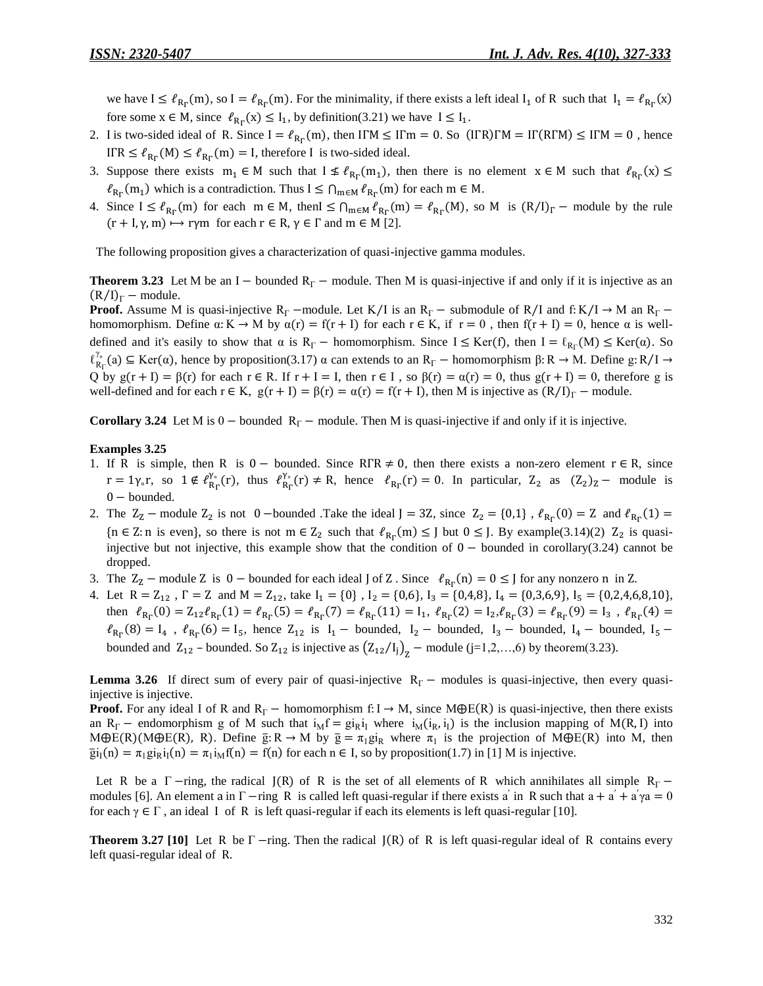we have  $I \leq \ell_{Br}(m)$ , so  $I = \ell_{Br}(m)$ . For the minimality, if there exists a left ideal  $I_1$  of R such that  $I_1 = \ell_{Br}(m)$ fore some  $x \in M$ , since  $\ell_{R_n}(x) \leq I_1$ , by definition(3.21) we have  $I \leq I_1$ .

- 2. I is two-sided ideal of R. Since  $I = \ell_{R_n}(m)$ , then IFM  $\leq I$ Fm = 0. So (IFR)FM = IF(RFM)  $\leq I$ FM = 0, hence IFR  $\leq \ell_{R_{\rm r}}(M) \leq \ell_{R_{\rm r}}(m) = I$ , therefore I is two-sided ideal.
- 3. Suppose there exists  $m_1 \in M$  such that  $I \nleq \ell_{R_n}(m_1)$ , then there is no element  $x \in M$  such that  $\ell_{R_n}(m_1)$  $\ell_{R_{\Gamma}}(m_1)$  which is a contradiction. Thus  $I \leq \bigcap_{m \in M} \ell_{R_{\Gamma}}(m)$  for each  $m \in M$ .
- 4. Since  $I \leq \ell_{R_r}(m)$  for each  $m \in M$ , then  $I \leq \bigcap_{m \in M} \ell_{R_r}(m) = \ell_{R_r}(M)$ , so M is  $(R/I)_\Gamma$  module by the rule  $(r + I, \gamma, m) \mapsto r\gamma m$  for each  $r \in R$ ,  $\gamma \in \Gamma$  and  $m \in M$  [2].

The following proposition gives a characterization of quasi-injective gamma modules.

**Theorem 3.23** Let M be an I – bounded  $R_\Gamma$  – module. Then M is quasi-injective if and only if it is injective as an  $(R/I)<sub>\Gamma</sub>$  – module.

**Proof.** Assume M is quasi-injective R<sub>F</sub> –module. Let K/I is an R<sub>F</sub> – submodule of R/I and f: K/I  $\rightarrow$  M an R<sub>F</sub> – homomorphism. Define  $\alpha: K \to M$  by  $\alpha(r) = f(r + I)$  for each  $r \in K$ , if  $r = 0$ , then  $f(r + I) = 0$ , hence  $\alpha$  is welldefined and it's easily to show that  $\alpha$  is  $R_{\Gamma}$  – homomorphism. Since  $I \leq Ker(f)$ , then  $I = \ell_{R_{\Gamma}}(M) \leq Ker(\alpha)$ . So  $\ell_{R_{\Gamma}}^{\gamma_{\circ}}(a) \subseteq \text{Ker}(\alpha)$ , hence by proposition(3.17)  $\alpha$  can extends to an  $R_{\Gamma}$  – homomorphism  $\beta: R \to M$ . Define g: R/I Q by  $g(r + I) = \beta(r)$  for each  $r \in R$ . If  $r + I = I$ , then  $r \in I$ , so  $\beta(r) = \alpha(r) = 0$ , thus  $g(r + I) = 0$ , therefore g is well-defined and for each  $r \in K$ ,  $g(r + I) = \beta(r) = \alpha(r) = f(r + I)$ , then M is injective as  $(R/I)<sub>\Gamma</sub>$  - module.

**Corollary 3.24** Let M is  $0$  – bounded  $R_\Gamma$  – module. Then M is quasi-injective if and only if it is injective.

#### **Examples 3.25**

- 1. If R is simple, then R is  $0 -$  bounded. Since  $RTR \neq 0$ , then there exists a non-zero element  $r \in R$ , since  $r = 1\gamma_{\circ}r$ , so  $1 \notin \ell_{R_{\rm B}}^{\gamma_{\circ}}(r)$ , thus  $\ell_{R_{\rm B}}^{\gamma_{\circ}}(r) \neq R$ , hence  $\ell_{R_{\rm B}}(r) = 0$ . In particular,  $Z_2$  as  $(Z_2)_{Z}$  - module is  $0 -$ bounded.
- 2. The  $Z_2$  module  $Z_2$  is not 0 –bounded .Take the ideal  $J = 3Z$ , since  $Z_2 = \{0,1\}$ ,  $\ell_{R_E}(0) = Z$  and  $\ell_{R_E}(0)$  $\{n \in \mathbb{Z}: n \text{ is even}\},$  so there is not  $m \in \mathbb{Z}_2$  such that  $\ell_{R_n}(m) \leq J$  but  $0 \leq J$ . By example(3.14)(2)  $\mathbb{Z}_2$  is quasiinjective but not injective, this example show that the condition of  $0 -$  bounded in corollary(3.24) cannot be dropped.
- 3. The  $Z_z$  module Z is 0 bounded for each ideal J of Z. Since  $\ell_{R_r}(n) = 0 \leq J$  for any nonzero n in Z.
- 4. Let  $R = Z_{12}$ ,  $\Gamma = Z$  and  $M = Z_{12}$ , take  $I_1 = \{0\}$ ,  $I_2 = \{0,6\}$ ,  $I_3 = \{0,4,8\}$ ,  $I_4 = \{0,3,6,9\}$ ,  $I_5 = \{0,2,4,6,8,10\}$ , then  $\ell_{R_{\rm F}}(0) = Z_{12} \ell_{R_{\rm F}}(1) = \ell_{R_{\rm F}}(5) = \ell_{R_{\rm F}}(7) = \ell_{R_{\rm F}}(11) = I_1$ ,  $\ell_{R_{\rm F}}(2) = I_2 \ell_{R_{\rm F}}(3) = \ell_{R_{\rm F}}(9) = I_3$ ,  $\ell_{R_{\rm F}}(11) = I_1 \ell_{R_{\rm F}}(11) = I_2 \ell_{R_{\rm F}}(11) = I_3$  $\ell_{R_{\rm F}}(8) = I_4$ ,  $\ell_{R_{\rm F}}(6) = I_5$ , hence  $Z_{12}$  is  $I_1$  – bounded,  $I_2$  – bounded,  $I_3$  – bounded,  $I_4$  – bounded, bounded and  $Z_{12}$  – bounded. So  $Z_{12}$  is injective as  $(Z_{12}/I_j)_Z$  – module (j=1,2,...,6) by theorem(3.23).

**Lemma 3.26** If direct sum of every pair of quasi-injective  $R_r$  – modules is quasi-injective, then every quasiinjective is injective.

**Proof.** For any ideal I of R and  $R_F$  – homomorphism f: I  $\rightarrow$  M, since M $\oplus E(R)$  is quasi-injective, then there exists an R<sub>F</sub> – endomorphism g of M such that  $i_M f = gi_R i_I$  where  $i_M(i_R, i_I)$  is the inclusion mapping of M(R, I) into  $M\bigoplus E(R)(M\bigoplus E(R), R)$ . Define  $\overline{g}: R \to M$  by  $\overline{g} = \pi_1 g i_R$  where  $\pi_1$  is the projection of  $M\bigoplus E(R)$  into M, then  $\overline{g}i_I(n) = \pi_1 g i_R i_I(n) = \pi_1 i_M f(n) = f(n)$  for each  $n \in I$ , so by proposition(1.7) in [1] M is injective.

Let R be a  $\Gamma$  -ring, the radical  $J(R)$  of R is the set of all elements of R which annihilates all simple R<sub> $\Gamma$ </sub> modules [6]. An element a in  $\Gamma$  -ring R is called left quasi-regular if there exists a' in R such that  $a + a' + a'\gamma a =$ for each  $\gamma \in \Gamma$ , an ideal I of R is left quasi-regular if each its elements is left quasi-regular [10].

**Theorem 3.27 [10]** Let R be  $\Gamma$  -ring. Then the radical  $J(R)$  of R is left quasi-regular ideal of R contains every left quasi-regular ideal of R.